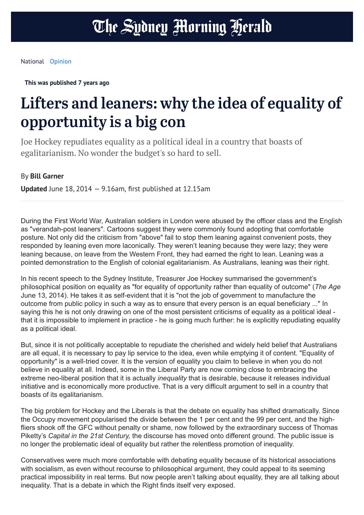**This was published 7 years ago**

## Lifters and leaners: why the idea of equality of opportunity is a big con

Joe Hockey repudiates equality as a political ideal in a country that boasts of egalitarianism. No wonder the budget's so hard to sell.

By **Bill Garner**

**Updated** June 18, 2014 — 9.16am, first published at 12.15am

During the First World War, Australian soldiers in London were abused by the officer class and the English as "verandah-post leaners". Cartoons suggest they were commonly found adopting that comfortable posture. Not only did the criticism from "above" fail to stop them leaning against convenient posts, they responded by leaning even more laconically. They weren't leaning because they were lazy; they were leaning because, on leave from the Western Front, they had earned the right to lean. Leaning was a pointed demonstration to the English of colonial egalitarianism. As Australians, leaning was their right.

In his recent speech to the Sydney Institute, Treasurer Joe Hockey summarised the government's philosophical position on equality as "for equality of opportunity rather than equality of outcome" (*The Age* June 13, 2014). He takes it as self-evident that it is "not the job of government to manufacture the outcome from public policy in such a way as to ensure that every person is an equal beneficiary ..." In saying this he is not only drawing on one of the most persistent criticisms of equality as a political ideal that it is impossible to implement in practice - he is going much further: he is explicitly repudiating equality as a political ideal.

But, since it is not politically acceptable to repudiate the cherished and widely held belief that Australians are all equal, it is necessary to pay lip service to the idea, even while emptying it of content. "Equality of opportunity" is a well-tried cover. It is the version of equality you claim to believe in when you do not believe in equality at all. Indeed, some in the Liberal Party are now coming close to embracing the extreme neo-liberal position that it is actually *inequality* that is desirable, because it releases individual initiative and is economically more productive. That is a very difficult argument to sell in a country that boasts of its egalitarianism.

The big problem for Hockey and the Liberals is that the debate on equality has shifted dramatically. Since the Occupy movement popularised the divide between the 1 per cent and the 99 per cent, and the highfliers shook off the GFC without penalty or shame, now followed by the extraordinary success of Thomas Piketty's *Capital in the 21st Century,* the discourse has moved onto different ground. The public issue is no longer the problematic ideal of equality but rather the relentless promotion of inequality.

Conservatives were much more comfortable with debating equality because of its historical associations with socialism, as even without recourse to philosophical argument, they could appeal to its seeming practical impossibility in real terms. But now people aren't talking about equality, they are all talking about inequality. That is a debate in which the Right finds itself very exposed.